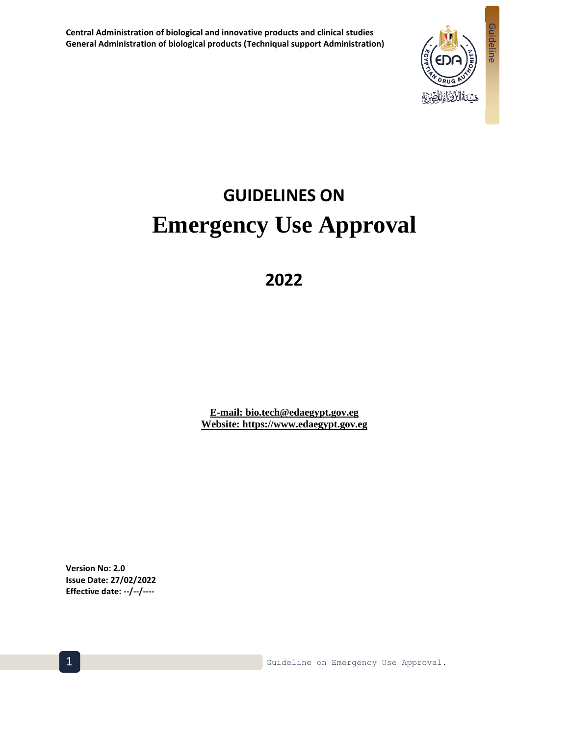

# **GUIDELINES ON Emergency Use Approval**

## **2022**

**E-mail: bio.tech@edaegypt.gov.eg Website: https://www.edaegypt.gov.eg**

**Version No: 2.0 Issue Date: 27/02/2022 Effective date: --/--/----**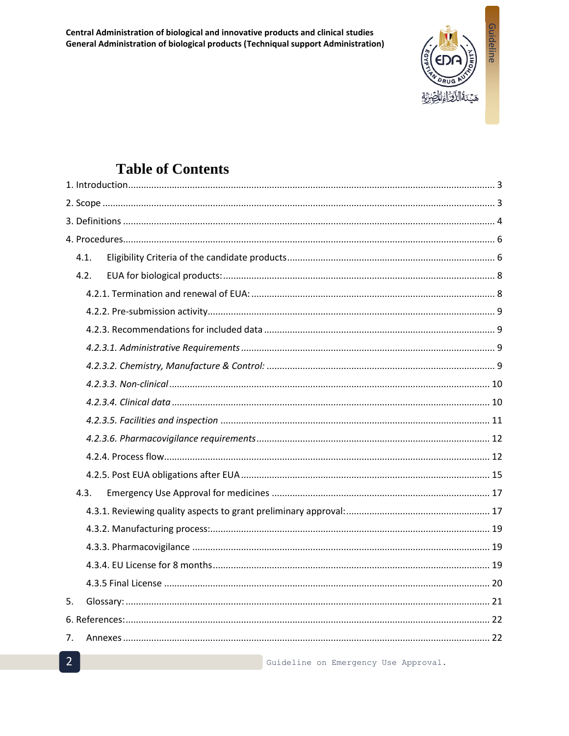Central Administration of biological and innovative products and clinical studies General Administration of biological products (Techniqual support Administration)



## **Table of Contents**

|    | 4.1. |  |
|----|------|--|
|    | 4.2. |  |
|    |      |  |
|    |      |  |
|    |      |  |
|    |      |  |
|    |      |  |
|    |      |  |
|    |      |  |
|    |      |  |
|    |      |  |
|    |      |  |
|    |      |  |
|    | 4.3. |  |
|    |      |  |
|    |      |  |
|    |      |  |
|    |      |  |
|    |      |  |
| 5. |      |  |
|    |      |  |
| 7. |      |  |
|    |      |  |

Guideline on Emergency Use Approval.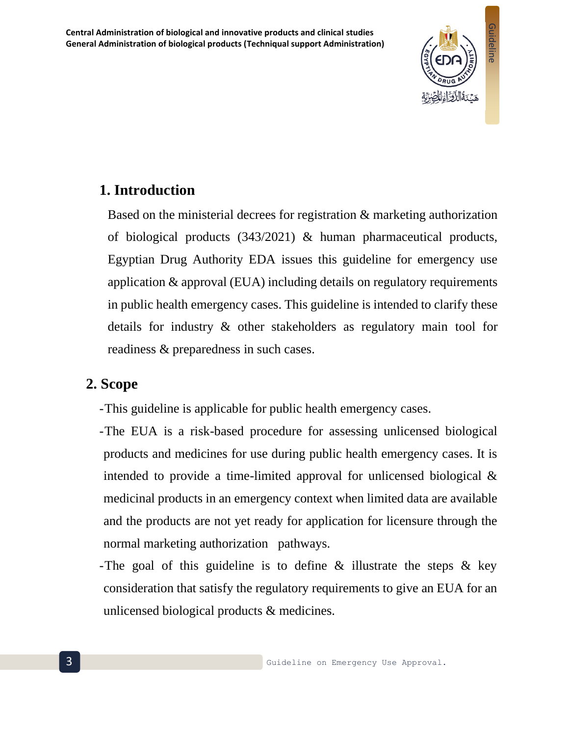**Central Administration of biological and innovative products and clinical studies General Administration of biological products (Techniqual support Administration)**



## <span id="page-2-0"></span>**1. Introduction**

Based on the ministerial decrees for registration & marketing authorization of biological products (343/2021) & human pharmaceutical products, Egyptian Drug Authority EDA issues this guideline for emergency use application & approval (EUA) including details on regulatory requirements in public health emergency cases. This guideline is intended to clarify these details for industry & other stakeholders as regulatory main tool for readiness & preparedness in such cases.

#### <span id="page-2-1"></span>**2. Scope**

- -This guideline is applicable for public health emergency cases.
- -The EUA is a risk-based procedure for assessing unlicensed biological products and medicines for use during public health emergency cases. It is intended to provide a time-limited approval for unlicensed biological & medicinal products in an emergency context when limited data are available and the products are not yet ready for application for licensure through the normal marketing authorization pathways.
- -The goal of this guideline is to define & illustrate the steps & key consideration that satisfy the regulatory requirements to give an EUA for an unlicensed biological products & medicines.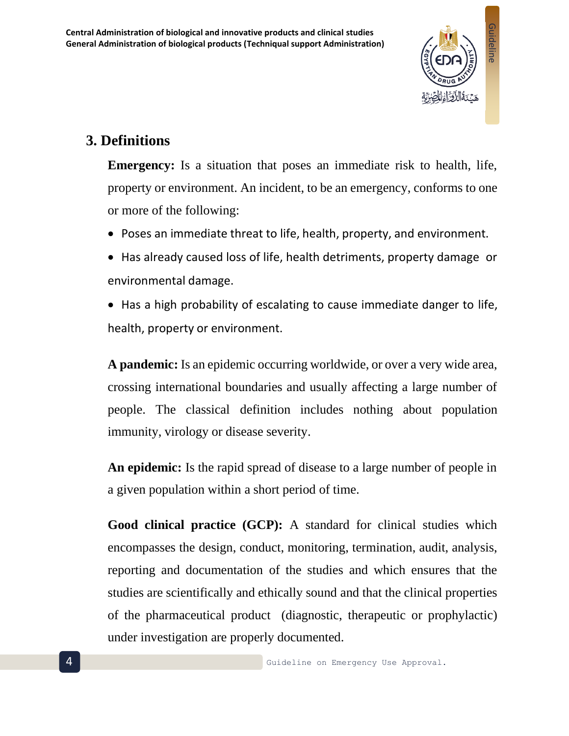

## <span id="page-3-0"></span>**3. Definitions**

**Emergency:** Is a situation that poses an immediate risk to health, life, property or environment. An incident, to be an emergency, conforms to one or more of the following:

- Poses an immediate threat to life, health, property, and environment.
- Has already caused loss of life, health detriments, property damage or environmental damage.
- Has a high probability of escalating to cause immediate danger to life, health, property or environment.

**A pandemic:** Is an epidemic occurring worldwide, or over a very wide area, crossing international boundaries and usually affecting a large number of people. The classical definition includes nothing about population immunity, virology or disease severity.

**An epidemic:** Is the rapid spread of disease to a large number of people in a given population within a short period of time.

**Good clinical practice (GCP):** A standard for clinical studies which encompasses the design, conduct, monitoring, termination, audit, analysis, reporting and documentation of the studies and which ensures that the studies are scientifically and ethically sound and that the clinical properties of the pharmaceutical product (diagnostic, therapeutic or prophylactic) under investigation are properly documented.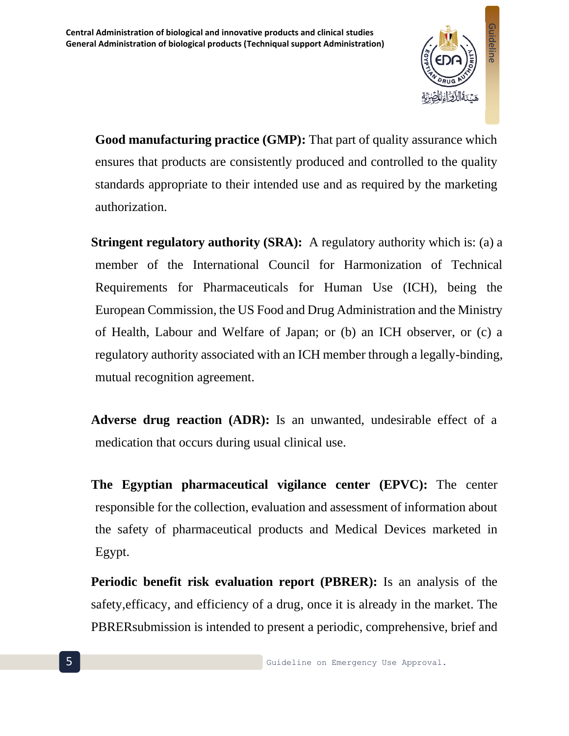

**Good manufacturing practice (GMP):** That part of quality assurance which ensures that products are consistently produced and controlled to the quality standards appropriate to their intended use and as required by the marketing authorization.

**Stringent regulatory authority (SRA):** A regulatory authority which is: (a) a member of the International Council for Harmonization of Technical Requirements for Pharmaceuticals for Human Use (ICH), being the European Commission, the US Food and Drug Administration and the Ministry of Health, Labour and Welfare of Japan; or (b) an ICH observer, or (c) a regulatory authority associated with an ICH member through a legally-binding, mutual recognition agreement.

**Adverse drug reaction (ADR):** Is an unwanted, undesirable effect of a medication that occurs during usual clinical use.

**The Egyptian pharmaceutical vigilance center (EPVC):** The center responsible for the collection, evaluation and assessment of information about the safety of pharmaceutical products and Medical Devices marketed in Egypt.

**Periodic benefit risk evaluation report (PBRER):** Is an analysis of the safety,efficacy, and efficiency of a drug, once it is already in the market. The PBRERsubmission is intended to present a periodic, comprehensive, brief and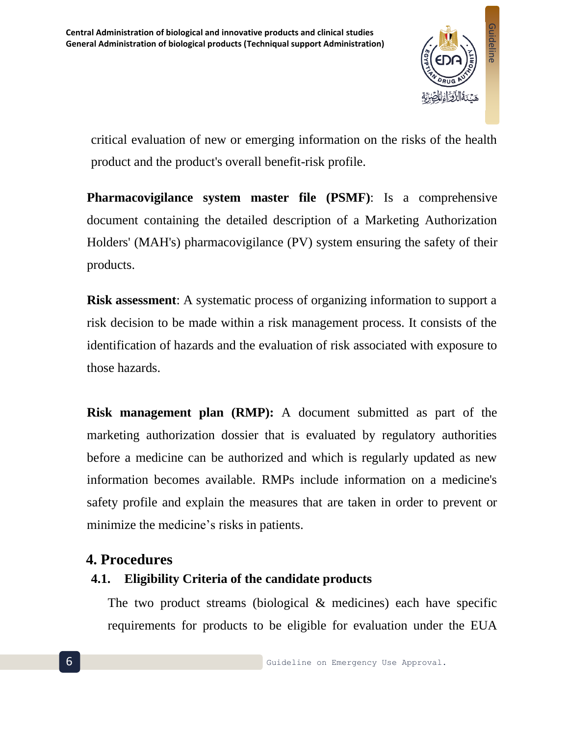

critical evaluation of new or emerging information on the risks of the health product and the product's overall benefit-risk profile.

**Pharmacovigilance system master file (PSMF)**: Is a comprehensive document containing the detailed description of a Marketing Authorization Holders' (MAH's) pharmacovigilance (PV) system ensuring the safety of their products.

**Risk assessment:** A systematic process of organizing information to support a risk decision to be made within a risk management process. It consists of the identification of hazards and the evaluation of risk associated with exposure to those hazards.

**Risk management plan (RMP):** A document submitted as part of the marketing authorization dossier that is evaluated by regulatory authorities before a medicine can be authorized and which is regularly updated as new information becomes available. RMPs include information on a medicine's safety profile and explain the measures that are taken in order to prevent or minimize the medicine's risks in patients.

#### <span id="page-5-0"></span>**4. Procedures**

## <span id="page-5-1"></span>**4.1. Eligibility Criteria of the candidate products**

The two product streams (biological & medicines) each have specific requirements for products to be eligible for evaluation under the EUA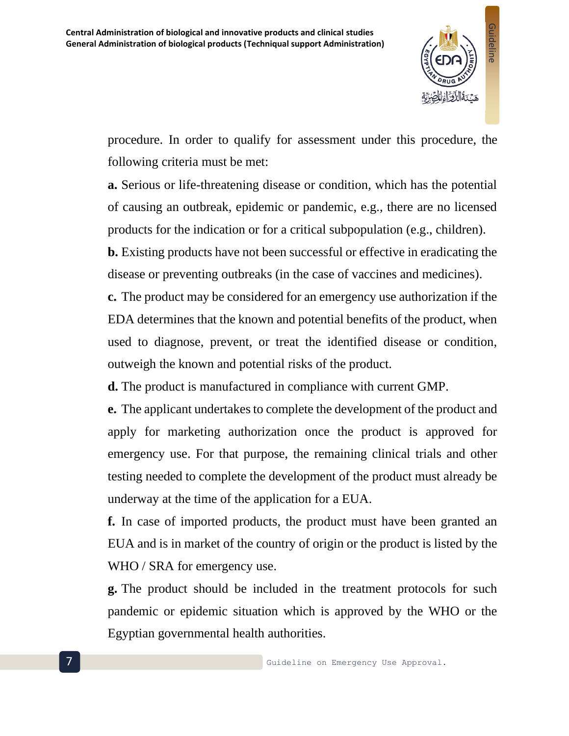

procedure. In order to qualify for assessment under this procedure, the following criteria must be met:

**a.** Serious or life-threatening disease or condition, which has the potential of causing an outbreak, epidemic or pandemic, e.g., there are no licensed products for the indication or for a critical subpopulation (e.g., children).

**b.** Existing products have not been successful or effective in eradicating the disease or preventing outbreaks (in the case of vaccines and medicines).

**c.** The product may be considered for an emergency use authorization if the EDA determines that the known and potential benefits of the product, when used to diagnose, prevent, or treat the identified disease or condition, outweigh the known and potential risks of the product.

**d.** The product is manufactured in compliance with current GMP.

**e.** The applicant undertakes to complete the development of the product and apply for marketing authorization once the product is approved for emergency use. For that purpose, the remaining clinical trials and other testing needed to complete the development of the product must already be underway at the time of the application for a EUA.

**f.** In case of imported products, the product must have been granted an EUA and is in market of the country of origin or the product is listed by the WHO / SRA for emergency use.

**g.** The product should be included in the treatment protocols for such pandemic or epidemic situation which is approved by the WHO or the Egyptian governmental health authorities.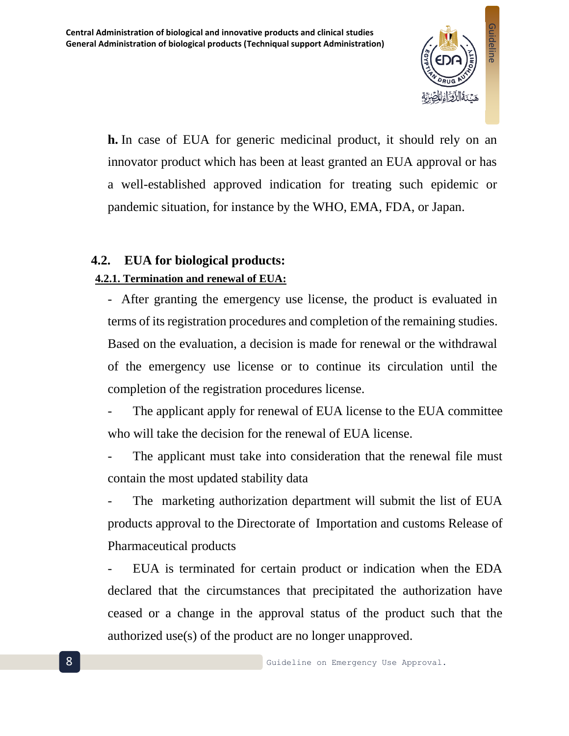

**h.** In case of EUA for generic medicinal product, it should rely on an innovator product which has been at least granted an EUA approval or has a well-established approved indication for treating such epidemic or pandemic situation, for instance by the WHO, EMA, FDA, or Japan.

## <span id="page-7-1"></span><span id="page-7-0"></span>**4.2. EUA for biological products: 4.2.1. Termination and renewal of EUA:**

- After granting the emergency use license, the product is evaluated in terms of its registration procedures and completion of the remaining studies. Based on the evaluation, a decision is made for renewal or the withdrawal of the emergency use license or to continue its circulation until the completion of the registration procedures license.

The applicant apply for renewal of EUA license to the EUA committee who will take the decision for the renewal of EUA license.

The applicant must take into consideration that the renewal file must contain the most updated stability data

The marketing authorization department will submit the list of EUA products approval to the Directorate of Importation and customs Release of Pharmaceutical products

- EUA is terminated for certain product or indication when the EDA declared that the circumstances that precipitated the authorization have ceased or a change in the approval status of the product such that the authorized use(s) of the product are no longer unapproved.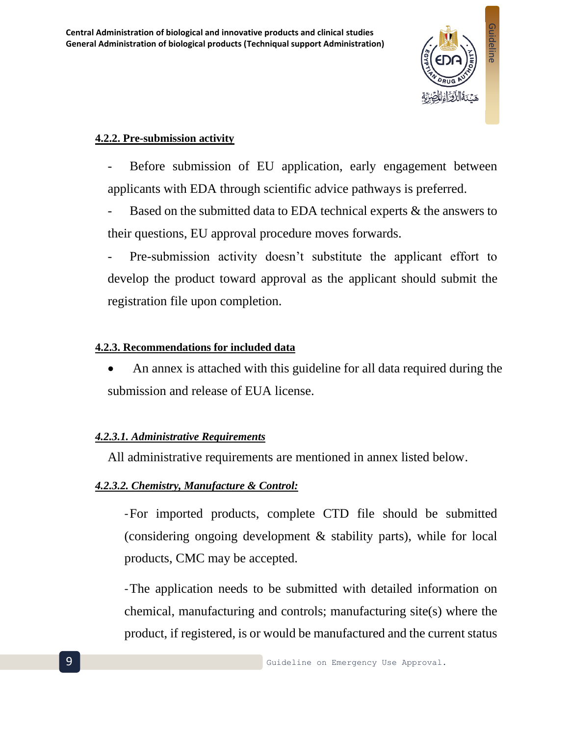

#### <span id="page-8-0"></span>**4.2.2. Pre-submission activity**

Before submission of EU application, early engagement between applicants with EDA through scientific advice pathways is preferred.

Based on the submitted data to EDA technical experts  $\&$  the answers to their questions, EU approval procedure moves forwards.

Pre-submission activity doesn't substitute the applicant effort to develop the product toward approval as the applicant should submit the registration file upon completion.

#### <span id="page-8-1"></span>**4.2.3. Recommendations for included data**

• An annex is attached with this guideline for all data required during the submission and release of EUA license.

#### <span id="page-8-2"></span>*4.2.3.1. Administrative Requirements*

All administrative requirements are mentioned in annex listed below.

#### <span id="page-8-3"></span>*4.2.3.2. Chemistry, Manufacture & Control:*

-For imported products, complete CTD file should be submitted (considering ongoing development & stability parts), while for local products, CMC may be accepted.

-The application needs to be submitted with detailed information on chemical, manufacturing and controls; manufacturing site(s) where the product, if registered, is or would be manufactured and the current status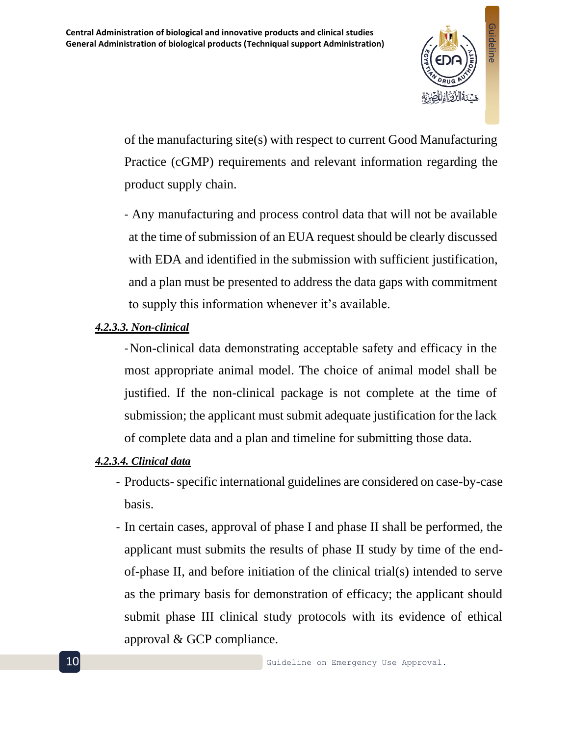

of the manufacturing site(s) with respect to current Good Manufacturing Practice (cGMP) requirements and relevant information regarding the product supply chain.

- Any manufacturing and process control data that will not be available at the time of submission of an EUA request should be clearly discussed with EDA and identified in the submission with sufficient justification, and a plan must be presented to address the data gaps with commitment to supply this information whenever it's available.

#### <span id="page-9-0"></span>*4.2.3.3. Non-clinical*

-Non-clinical data demonstrating acceptable safety and efficacy in the most appropriate animal model. The choice of animal model shall be justified. If the non-clinical package is not complete at the time of submission; the applicant must submit adequate justification for the lack of complete data and a plan and timeline for submitting those data.

#### <span id="page-9-1"></span>*4.2.3.4. Clinical data*

- Products-specific international guidelines are considered on case-by-case basis.
- In certain cases, approval of phase I and phase II shall be performed, the applicant must submits the results of phase II study by time of the endof-phase II, and before initiation of the clinical trial(s) intended to serve as the primary basis for demonstration of efficacy; the applicant should submit phase III clinical study protocols with its evidence of ethical approval & GCP compliance.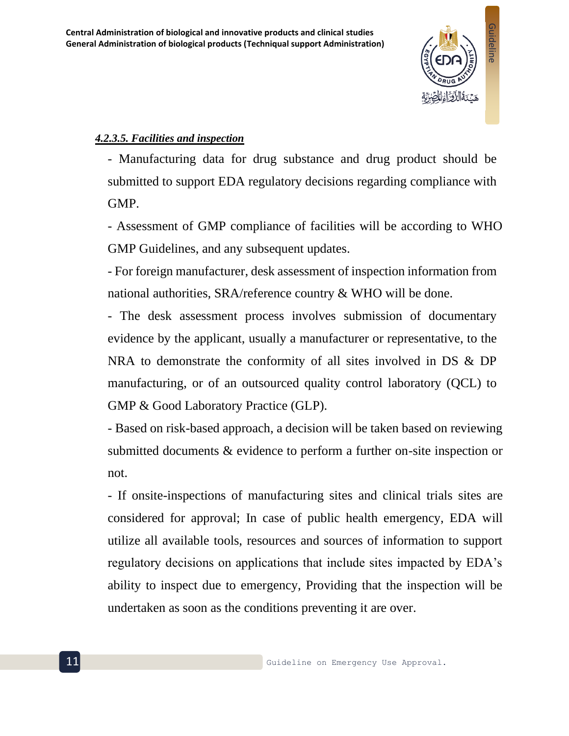

#### <span id="page-10-0"></span>*4.2.3.5. Facilities and inspection*

- Manufacturing data for drug substance and drug product should be submitted to support EDA regulatory decisions regarding compliance with GMP.

- Assessment of GMP compliance of facilities will be according to WHO GMP Guidelines, and any subsequent updates.

- For foreign manufacturer, desk assessment of inspection information from national authorities, SRA/reference country & WHO will be done.

- The desk assessment process involves submission of documentary evidence by the applicant, usually a manufacturer or representative, to the NRA to demonstrate the conformity of all sites involved in DS & DP manufacturing, or of an outsourced quality control laboratory (QCL) to GMP & Good Laboratory Practice (GLP).

- Based on risk-based approach, a decision will be taken based on reviewing submitted documents & evidence to perform a further on-site inspection or not.

- If onsite-inspections of manufacturing sites and clinical trials sites are considered for approval; In case of public health emergency, EDA will utilize all available tools, resources and sources of information to support regulatory decisions on applications that include sites impacted by EDA's ability to inspect due to emergency, Providing that the inspection will be undertaken as soon as the conditions preventing it are over.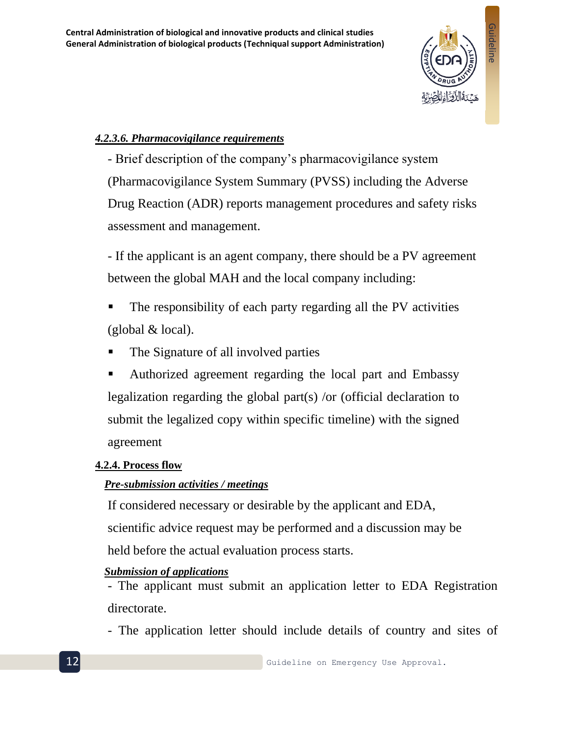

#### <span id="page-11-0"></span>*4.2.3.6. Pharmacovigilance requirements*

- Brief description of the company's pharmacovigilance system (Pharmacovigilance System Summary (PVSS) including the Adverse Drug Reaction (ADR) reports management procedures and safety risks assessment and management.

- If the applicant is an agent company, there should be a PV agreement between the global MAH and the local company including:

- The responsibility of each party regarding all the PV activities (global & local).
- The Signature of all involved parties
- Authorized agreement regarding the local part and Embassy legalization regarding the global part(s) /or (official declaration to submit the legalized copy within specific timeline) with the signed agreement

#### <span id="page-11-1"></span>**4.2.4. Process flow**

#### *Pre-submission activities / meetings*

If considered necessary or desirable by the applicant and EDA, scientific advice request may be performed and a discussion may be held before the actual evaluation process starts.

#### *Submission of applications*

- The applicant must submit an application letter to EDA Registration directorate.

- The application letter should include details of country and sites of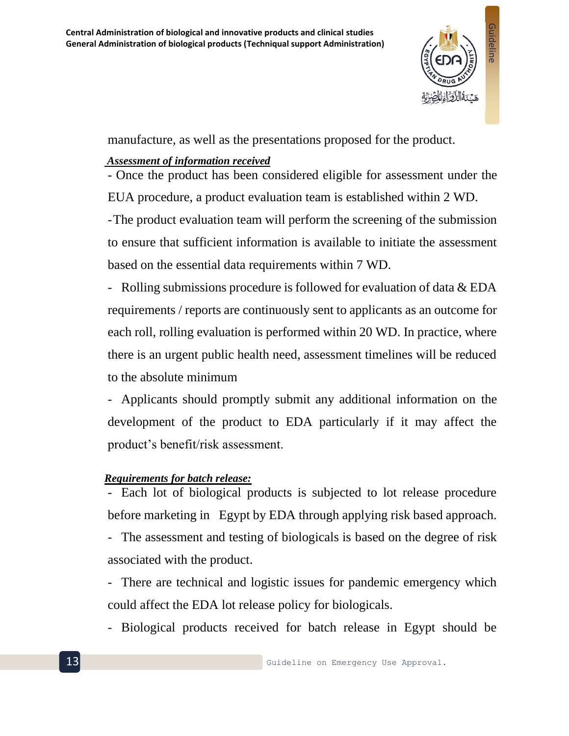

manufacture, as well as the presentations proposed for the product.

#### *Assessment of information received*

- Once the product has been considered eligible for assessment under the EUA procedure, a product evaluation team is established within 2 WD.

-The product evaluation team will perform the screening of the submission to ensure that sufficient information is available to initiate the assessment based on the essential data requirements within 7 WD.

- Rolling submissions procedure is followed for evaluation of data & EDA requirements / reports are continuously sent to applicants as an outcome for each roll, rolling evaluation is performed within 20 WD. In practice, where there is an urgent public health need, assessment timelines will be reduced to the absolute minimum

- Applicants should promptly submit any additional information on the development of the product to EDA particularly if it may affect the product's benefit/risk assessment.

#### *Requirements for batch release:*

- Each lot of biological products is subjected to lot release procedure before marketing in Egypt by EDA through applying risk based approach.

- The assessment and testing of biologicals is based on the degree of risk associated with the product.

- There are technical and logistic issues for pandemic emergency which could affect the EDA lot release policy for biologicals.

- Biological products received for batch release in Egypt should be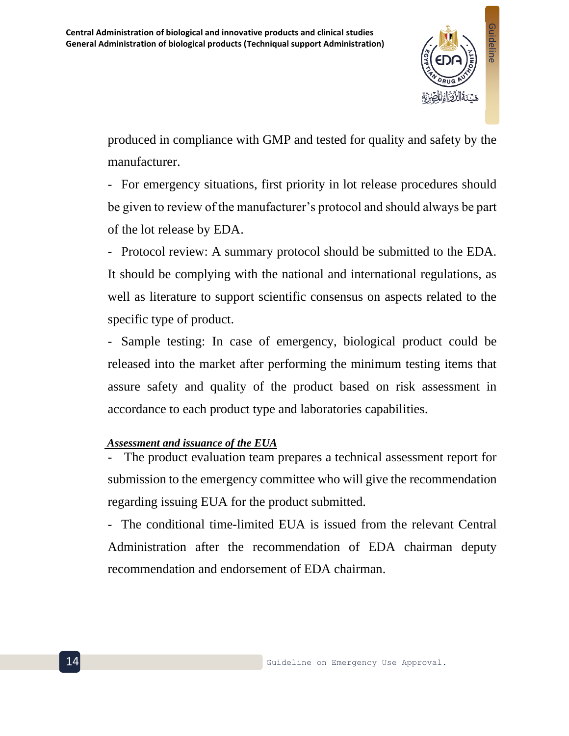

produced in compliance with GMP and tested for quality and safety by the manufacturer.

- For emergency situations, first priority in lot release procedures should be given to review of the manufacturer's protocol and should always be part of the lot release by EDA.

- Protocol review: A summary protocol should be submitted to the EDA. It should be complying with the national and international regulations, as well as literature to support scientific consensus on aspects related to the specific type of product.

- Sample testing: In case of emergency, biological product could be released into the market after performing the minimum testing items that assure safety and quality of the product based on risk assessment in accordance to each product type and laboratories capabilities.

#### *Assessment and issuance of the EUA*

The product evaluation team prepares a technical assessment report for submission to the emergency committee who will give the recommendation regarding issuing EUA for the product submitted.

- The conditional time-limited EUA is issued from the relevant Central Administration after the recommendation of EDA chairman deputy recommendation and endorsement of EDA chairman.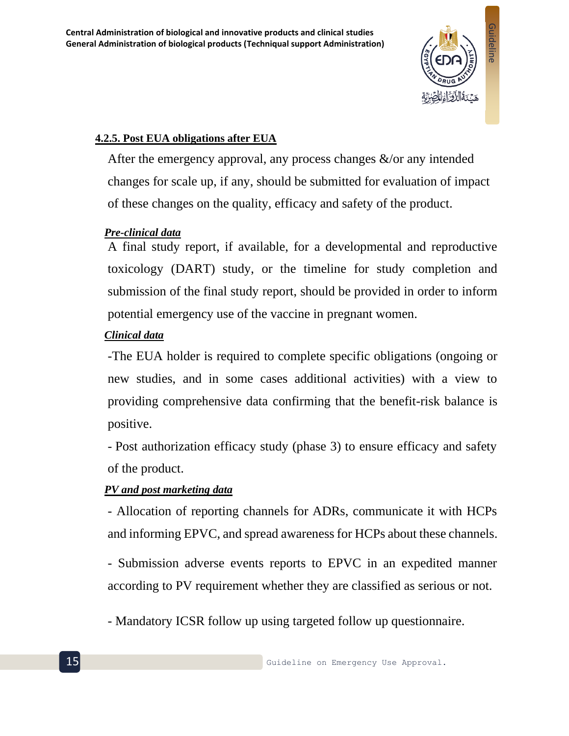

#### <span id="page-14-0"></span>**4.2.5. Post EUA obligations after EUA**

After the emergency approval, any process changes  $\&$ /or any intended changes for scale up, if any, should be submitted for evaluation of impact of these changes on the quality, efficacy and safety of the product.

#### *Pre-clinical data*

A final study report, if available, for a developmental and reproductive toxicology (DART) study, or the timeline for study completion and submission of the final study report, should be provided in order to inform potential emergency use of the vaccine in pregnant women.

#### *Clinical data*

-The EUA holder is required to complete [specific obligations \(](https://www.ema.europa.eu/en/glossary/specific-obligations)ongoing or new studies, and in some cases additional activities) with a view to providing comprehensive data confirming that the benefit-risk balance is positive.

- Post authorization efficacy study (phase 3) to ensure efficacy and safety of the product.

#### *PV and post marketing data*

- Allocation of reporting channels for ADRs, communicate it with HCPs and informing EPVC, and spread awareness for HCPs about these channels.

- Submission adverse events reports to EPVC in an expedited manner according to PV requirement whether they are classified as serious or not.

- Mandatory ICSR follow up using targeted follow up questionnaire.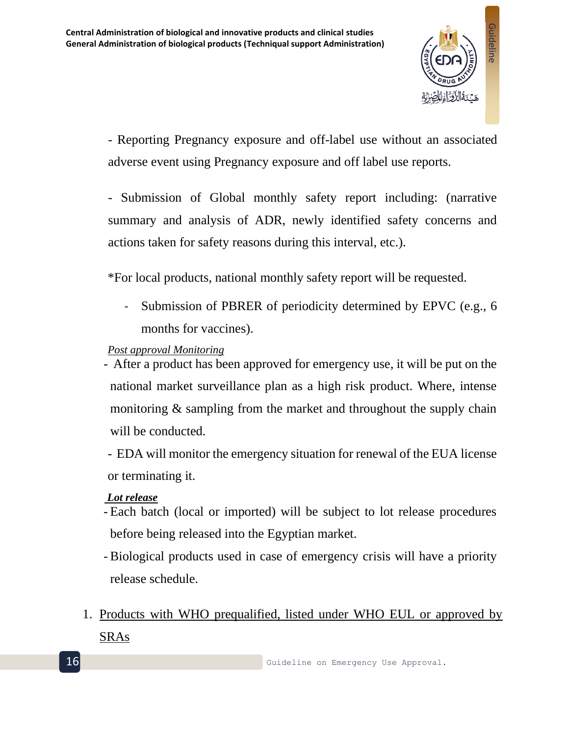

- Reporting Pregnancy exposure and off-label use without an associated adverse event using Pregnancy exposure and off label use reports.

- Submission of Global monthly safety report including: (narrative summary and analysis of ADR, newly identified safety concerns and actions taken for safety reasons during this interval, etc.).

\*For local products, national monthly safety report will be requested.

- Submission of PBRER of periodicity determined by EPVC (e.g., 6 months for vaccines).

#### *Post approval Monitoring*

- After a product has been approved for emergency use, it will be put on the national market surveillance plan as a high risk product. Where, intense monitoring & sampling from the market and throughout the supply chain will be conducted.
- EDA will monitor the emergency situation for renewal of the EUA license or terminating it.

#### *Lot release*

- Each batch (local or imported) will be subject to lot release procedures before being released into the Egyptian market.
- Biological products used in case of emergency crisis will have a priority release schedule.
- 1. Products with WHO prequalified, listed under WHO EUL or approved by SRAs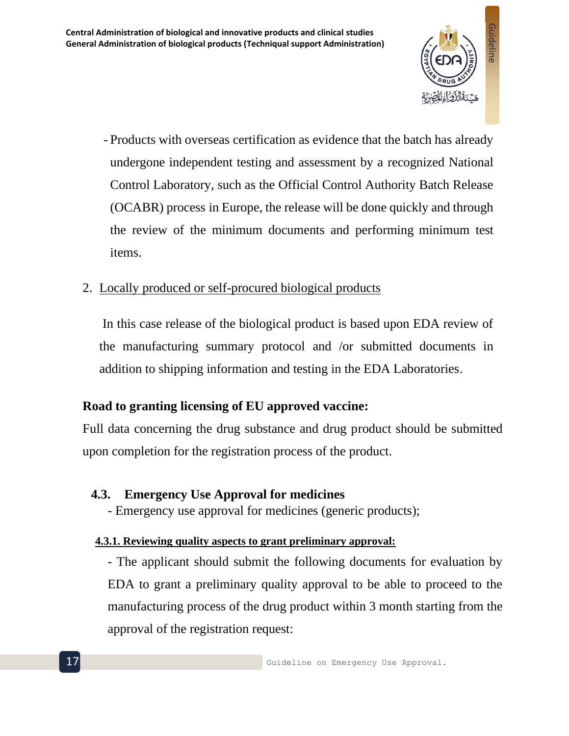

- Products with overseas certification as evidence that the batch has already undergone independent testing and assessment by a recognized National Control Laboratory, such as the [Official Control Authority Batch Release](https://www.edqm.eu/en/batch-release-human-biologicals-vaccines-blood-and-plasma-derivatives)  [\(OCABR\) process](https://www.edqm.eu/en/batch-release-human-biologicals-vaccines-blood-and-plasma-derivatives) in Europe, the release will be done quickly and through the review of the minimum documents and performing minimum test items.

## 2. Locally produced or self-procured biological products

In this case release of the biological product is based upon EDA review of the manufacturing summary protocol and /or submitted documents in addition to shipping information and testing in the EDA Laboratories.

## **Road to granting licensing of EU approved vaccine:**

Full data concerning the drug substance and drug product should be submitted upon completion for the registration process of the product.

#### <span id="page-16-0"></span>**4.3. Emergency Use Approval for medicines**

- Emergency use approval for medicines (generic products);

#### <span id="page-16-1"></span>**4.3.1. Reviewing quality aspects to grant preliminary approval:**

- The applicant should submit the following documents for evaluation by EDA to grant a preliminary quality approval to be able to proceed to the manufacturing process of the drug product within 3 month starting from the approval of the registration request: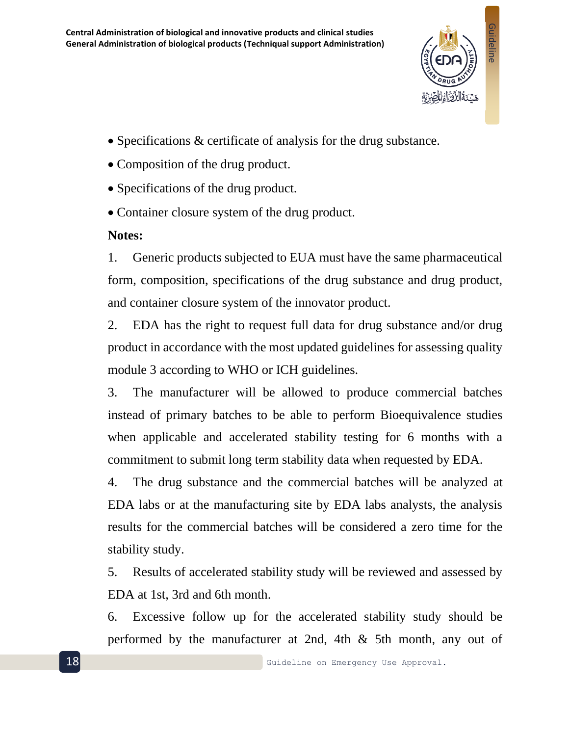

- Specifications & certificate of analysis for the drug substance.
- Composition of the drug product.
- Specifications of the drug product.
- Container closure system of the drug product.

## **Notes:**

1. Generic products subjected to EUA must have the same pharmaceutical form, composition, specifications of the drug substance and drug product, and container closure system of the innovator product.

2. EDA has the right to request full data for drug substance and/or drug product in accordance with the most updated guidelines for assessing quality module 3 according to WHO or ICH guidelines.

3. The manufacturer will be allowed to produce commercial batches instead of primary batches to be able to perform Bioequivalence studies when applicable and accelerated stability testing for 6 months with a commitment to submit long term stability data when requested by EDA.

4. The drug substance and the commercial batches will be analyzed at EDA labs or at the manufacturing site by EDA labs analysts, the analysis results for the commercial batches will be considered a zero time for the stability study.

5. Results of accelerated stability study will be reviewed and assessed by EDA at 1st, 3rd and 6th month.

6. Excessive follow up for the accelerated stability study should be performed by the manufacturer at 2nd, 4th & 5th month, any out of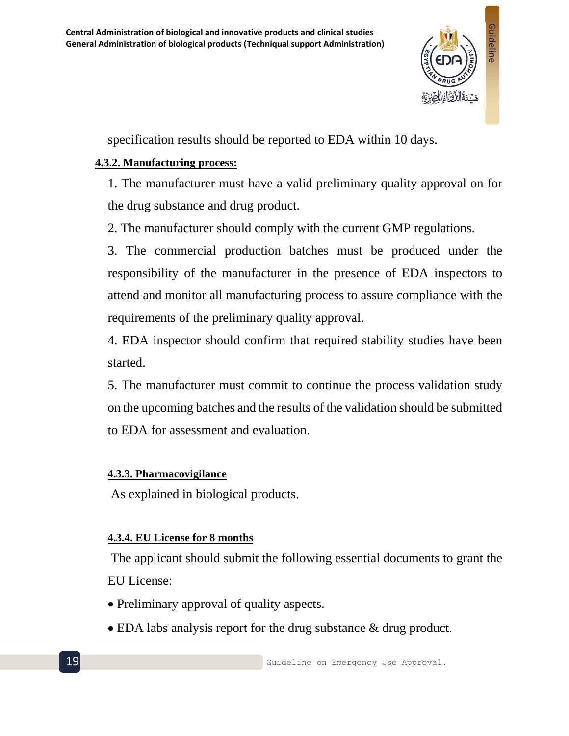

specification results should be reported to EDA within 10 days.

#### <span id="page-18-0"></span>**4.3.2. Manufacturing process:**

1. The manufacturer must have a valid preliminary quality approval on for the drug substance and drug product.

2. The manufacturer should comply with the current GMP regulations.

3. The commercial production batches must be produced under the responsibility of the manufacturer in the presence of EDA inspectors to attend and monitor all manufacturing process to assure compliance with the requirements of the preliminary quality approval.

4. EDA inspector should confirm that required stability studies have been started.

5. The manufacturer must commit to continue the process validation study on the upcoming batches and the results of the validation should be submitted to EDA for assessment and evaluation.

#### <span id="page-18-1"></span>**4.3.3. Pharmacovigilance**

As explained in biological products.

#### <span id="page-18-2"></span>**4.3.4. EU License for 8 months**

The applicant should submit the following essential documents to grant the EU License:

- Preliminary approval of quality aspects.
- EDA labs analysis report for the drug substance & drug product.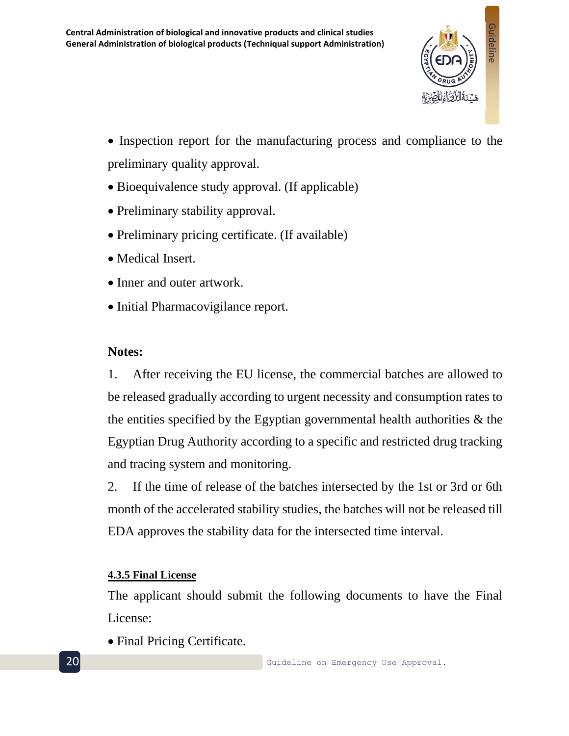

- Inspection report for the manufacturing process and compliance to the preliminary quality approval.
- Bioequivalence study approval. (If applicable)
- Preliminary stability approval.
- Preliminary pricing certificate. (If available)
- Medical Insert.
- Inner and outer artwork.
- Initial Pharmacovigilance report.

#### **Notes:**

1. After receiving the EU license, the commercial batches are allowed to be released gradually according to urgent necessity and consumption rates to the entities specified by the Egyptian governmental health authorities & the Egyptian Drug Authority according to a specific and restricted drug tracking and tracing system and monitoring.

2. If the time of release of the batches intersected by the 1st or 3rd or 6th month of the accelerated stability studies, the batches will not be released till EDA approves the stability data for the intersected time interval.

#### <span id="page-19-0"></span>**4.3.5 Final License**

The applicant should submit the following documents to have the Final License:

• Final Pricing Certificate.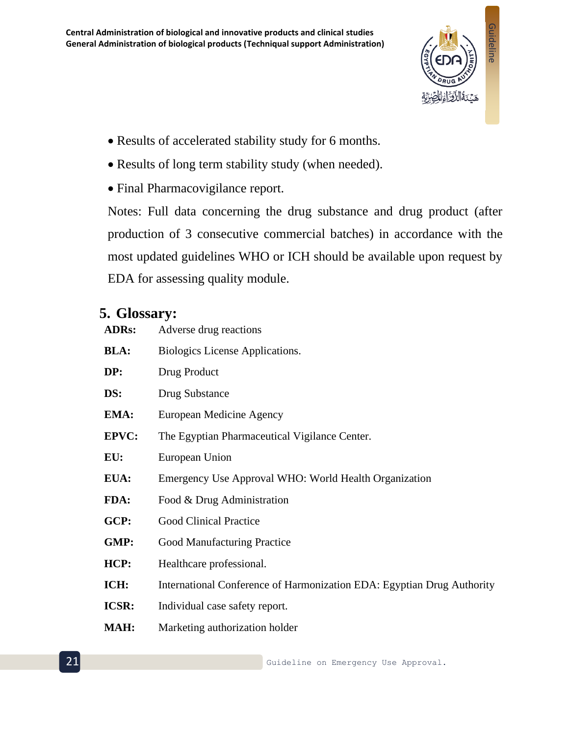

- Results of accelerated stability study for 6 months.
- Results of long term stability study (when needed).
- Final Pharmacovigilance report.

Notes: Full data concerning the drug substance and drug product (after production of 3 consecutive commercial batches) in accordance with the most updated guidelines WHO or ICH should be available upon request by EDA for assessing quality module.

## <span id="page-20-0"></span>**5. Glossary:**

| <b>ADRs:</b> | Adverse drug reactions                                                 |
|--------------|------------------------------------------------------------------------|
| <b>BLA:</b>  | Biologics License Applications.                                        |
| DP:          | Drug Product                                                           |
| DS:          | <b>Drug Substance</b>                                                  |
| EMA:         | European Medicine Agency                                               |
| <b>EPVC:</b> | The Egyptian Pharmaceutical Vigilance Center.                          |
| EU:          | European Union                                                         |
| EUA:         | Emergency Use Approval WHO: World Health Organization                  |
| FDA:         | Food & Drug Administration                                             |
| GCP:         | <b>Good Clinical Practice</b>                                          |
| GMP:         | Good Manufacturing Practice                                            |
| HCP:         | Healthcare professional.                                               |
| ICH:         | International Conference of Harmonization EDA: Egyptian Drug Authority |
| <b>ICSR:</b> | Individual case safety report.                                         |
| <b>MAH:</b>  | Marketing authorization holder                                         |
|              |                                                                        |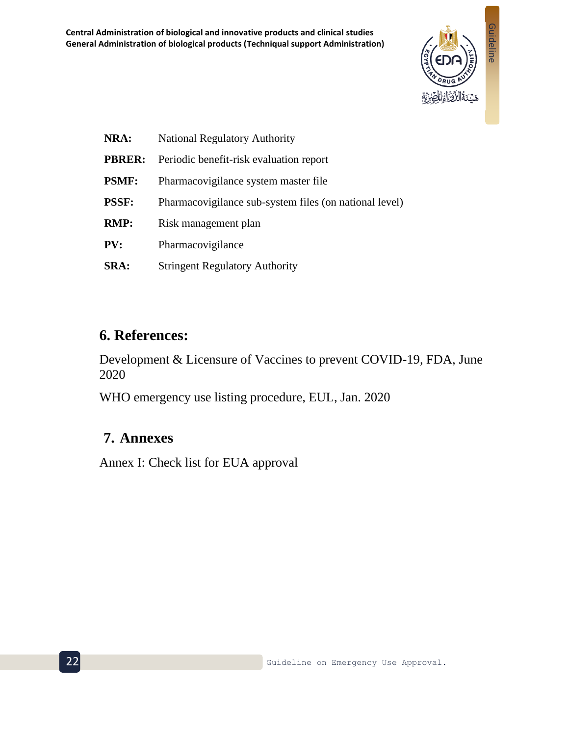

| NRA:          | <b>National Regulatory Authority</b>                   |
|---------------|--------------------------------------------------------|
| <b>PBRER:</b> | Periodic benefit-risk evaluation report                |
| <b>PSMF:</b>  | Pharmacovigilance system master file                   |
| <b>PSSF:</b>  | Pharmacovigilance sub-system files (on national level) |
| <b>RMP:</b>   | Risk management plan                                   |
| PV:           | Pharmacovigilance                                      |
| <b>SRA:</b>   | <b>Stringent Regulatory Authority</b>                  |

## <span id="page-21-0"></span>**6. References:**

Development & Licensure of Vaccines to prevent COVID-19, FDA, June 2020

WHO emergency use listing procedure, EUL, Jan. 2020

## <span id="page-21-1"></span>**7. Annexes**

Annex I: Check list for EUA approval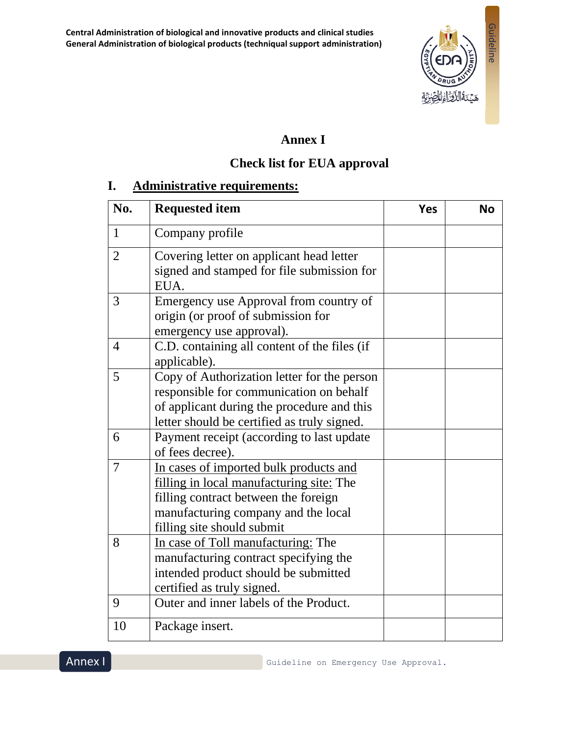

## **Annex I**

## **Check list for EUA approval**

## **I. Administrative requirements:**

| No.            | <b>Requested item</b>                                                                                                                                                                           | <b>Yes</b> | <b>No</b> |
|----------------|-------------------------------------------------------------------------------------------------------------------------------------------------------------------------------------------------|------------|-----------|
| $\mathbf{1}$   | Company profile                                                                                                                                                                                 |            |           |
| $\overline{2}$ | Covering letter on applicant head letter<br>signed and stamped for file submission for<br>EUA.                                                                                                  |            |           |
| 3              | Emergency use Approval from country of<br>origin (or proof of submission for<br>emergency use approval).                                                                                        |            |           |
| $\overline{4}$ | C.D. containing all content of the files (if<br>applicable).                                                                                                                                    |            |           |
| 5              | Copy of Authorization letter for the person<br>responsible for communication on behalf<br>of applicant during the procedure and this<br>letter should be certified as truly signed.             |            |           |
| 6              | Payment receipt (according to last update<br>of fees decree).                                                                                                                                   |            |           |
| $\overline{7}$ | In cases of imported bulk products and<br>filling in local manufacturing site: The<br>filling contract between the foreign<br>manufacturing company and the local<br>filling site should submit |            |           |
| 8              | In case of Toll manufacturing: The<br>manufacturing contract specifying the<br>intended product should be submitted<br>certified as truly signed.                                               |            |           |
| 9              | Outer and inner labels of the Product.                                                                                                                                                          |            |           |
| 10             | Package insert.                                                                                                                                                                                 |            |           |

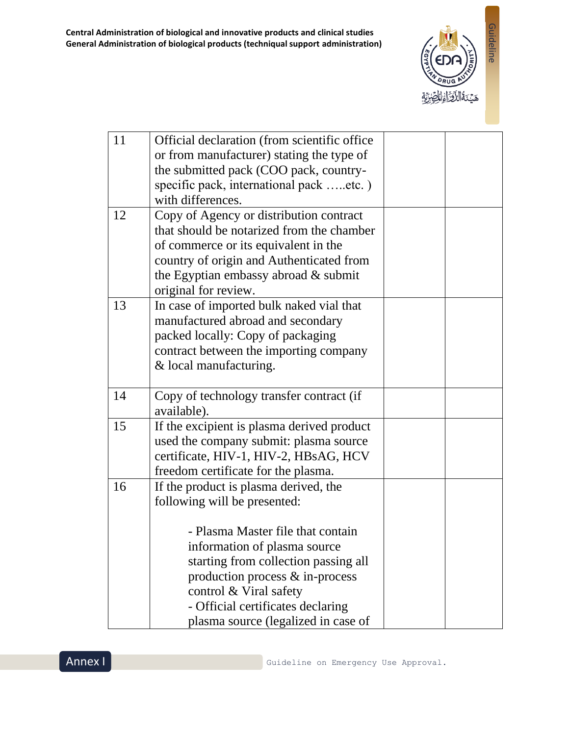

| 11 | Official declaration (from scientific office)                        |  |
|----|----------------------------------------------------------------------|--|
|    | or from manufacturer) stating the type of                            |  |
|    | the submitted pack (COO pack, country-                               |  |
|    | specific pack, international pack etc.)                              |  |
|    | with differences.                                                    |  |
| 12 | Copy of Agency or distribution contract                              |  |
|    | that should be notarized from the chamber                            |  |
|    | of commerce or its equivalent in the                                 |  |
|    | country of origin and Authenticated from                             |  |
|    | the Egyptian embassy abroad & submit                                 |  |
|    | original for review.                                                 |  |
| 13 | In case of imported bulk naked vial that                             |  |
|    | manufactured abroad and secondary                                    |  |
|    | packed locally: Copy of packaging                                    |  |
|    | contract between the importing company                               |  |
|    | & local manufacturing.                                               |  |
|    |                                                                      |  |
| 14 | Copy of technology transfer contract (if                             |  |
|    | available).                                                          |  |
| 15 | If the excipient is plasma derived product                           |  |
|    | used the company submit: plasma source                               |  |
|    | certificate, HIV-1, HIV-2, HBsAG, HCV                                |  |
|    | freedom certificate for the plasma.                                  |  |
| 16 | If the product is plasma derived, the                                |  |
|    | following will be presented:                                         |  |
|    | - Plasma Master file that contain                                    |  |
|    |                                                                      |  |
|    | information of plasma source<br>starting from collection passing all |  |
|    |                                                                      |  |
|    | production process & in-process                                      |  |
|    | control & Viral safety<br>- Official certificates declaring          |  |
|    | plasma source (legalized in case of                                  |  |
|    |                                                                      |  |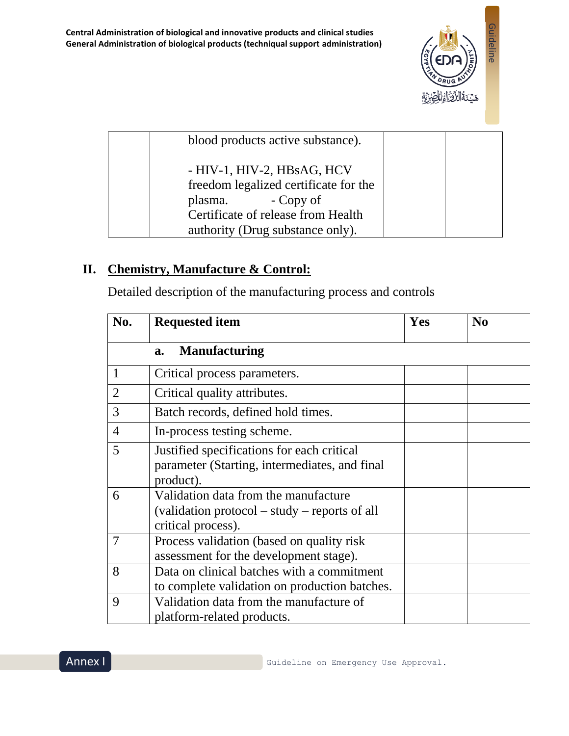

| blood products active substance).                                                                                                                                     |  |
|-----------------------------------------------------------------------------------------------------------------------------------------------------------------------|--|
| - HIV-1, HIV-2, HBsAG, HCV<br>freedom legalized certificate for the<br>- Copy of<br>plasma.<br>Certificate of release from Health<br>authority (Drug substance only). |  |

## **II. Chemistry, Manufacture & Control:**

Detailed description of the manufacturing process and controls

| No.            | <b>Requested item</b>                                                                                       | Yes | N <sub>0</sub> |
|----------------|-------------------------------------------------------------------------------------------------------------|-----|----------------|
|                | <b>Manufacturing</b><br>a.                                                                                  |     |                |
| $\mathbf{1}$   | Critical process parameters.                                                                                |     |                |
| $\overline{2}$ | Critical quality attributes.                                                                                |     |                |
| 3              | Batch records, defined hold times.                                                                          |     |                |
| $\overline{4}$ | In-process testing scheme.                                                                                  |     |                |
| 5              | Justified specifications for each critical<br>parameter (Starting, intermediates, and final<br>product).    |     |                |
| 6              | Validation data from the manufacture<br>(validation protocol – study – reports of all<br>critical process). |     |                |
| 7              | Process validation (based on quality risk)<br>assessment for the development stage).                        |     |                |
| 8              | Data on clinical batches with a commitment<br>to complete validation on production batches.                 |     |                |
| 9              | Validation data from the manufacture of<br>platform-related products.                                       |     |                |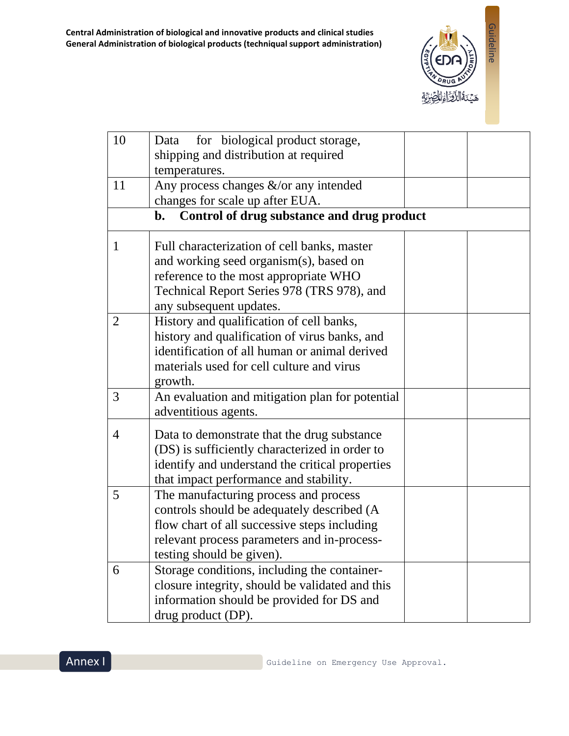

| 10             | for biological product storage,<br>Data                |  |
|----------------|--------------------------------------------------------|--|
|                | shipping and distribution at required<br>temperatures. |  |
| 11             | Any process changes &/or any intended                  |  |
|                | changes for scale up after EUA.                        |  |
|                | Control of drug substance and drug product<br>b.       |  |
| 1              | Full characterization of cell banks, master            |  |
|                | and working seed organism(s), based on                 |  |
|                | reference to the most appropriate WHO                  |  |
|                | Technical Report Series 978 (TRS 978), and             |  |
|                | any subsequent updates.                                |  |
| $\overline{2}$ | History and qualification of cell banks,               |  |
|                | history and qualification of virus banks, and          |  |
|                | identification of all human or animal derived          |  |
|                | materials used for cell culture and virus              |  |
|                | growth.                                                |  |
| 3              | An evaluation and mitigation plan for potential        |  |
|                | adventitious agents.                                   |  |
| $\overline{4}$ | Data to demonstrate that the drug substance            |  |
|                | (DS) is sufficiently characterized in order to         |  |
|                | identify and understand the critical properties        |  |
|                | that impact performance and stability.                 |  |
| 5              | The manufacturing process and process                  |  |
|                | controls should be adequately described (A             |  |
|                | flow chart of all successive steps including           |  |
|                | relevant process parameters and in-process-            |  |
|                | testing should be given).                              |  |
| 6              | Storage conditions, including the container-           |  |
|                | closure integrity, should be validated and this        |  |
|                | information should be provided for DS and              |  |
|                | drug product (DP).                                     |  |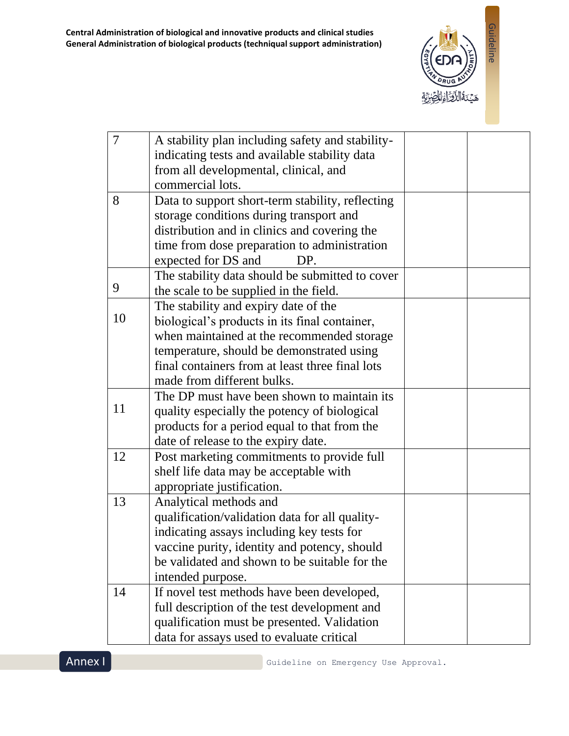

| $\overline{7}$ | A stability plan including safety and stability- |  |
|----------------|--------------------------------------------------|--|
|                | indicating tests and available stability data    |  |
|                | from all developmental, clinical, and            |  |
|                | commercial lots.                                 |  |
| 8              | Data to support short-term stability, reflecting |  |
|                | storage conditions during transport and          |  |
|                | distribution and in clinics and covering the     |  |
|                | time from dose preparation to administration     |  |
|                | expected for DS and<br>DP.                       |  |
|                | The stability data should be submitted to cover  |  |
| 9              | the scale to be supplied in the field.           |  |
|                | The stability and expiry date of the             |  |
| 10             | biological's products in its final container,    |  |
|                | when maintained at the recommended storage       |  |
|                | temperature, should be demonstrated using        |  |
|                | final containers from at least three final lots  |  |
|                | made from different bulks.                       |  |
|                | The DP must have been shown to maintain its      |  |
| 11             | quality especially the potency of biological     |  |
|                | products for a period equal to that from the     |  |
|                | date of release to the expiry date.              |  |
| 12             | Post marketing commitments to provide full       |  |
|                | shelf life data may be acceptable with           |  |
|                | appropriate justification.                       |  |
| 13             | Analytical methods and                           |  |
|                | qualification/validation data for all quality-   |  |
|                | indicating assays including key tests for        |  |
|                | vaccine purity, identity and potency, should     |  |
|                | be validated and shown to be suitable for the    |  |
|                | intended purpose.                                |  |
| 14             | If novel test methods have been developed,       |  |
|                | full description of the test development and     |  |
|                | qualification must be presented. Validation      |  |
|                | data for assays used to evaluate critical        |  |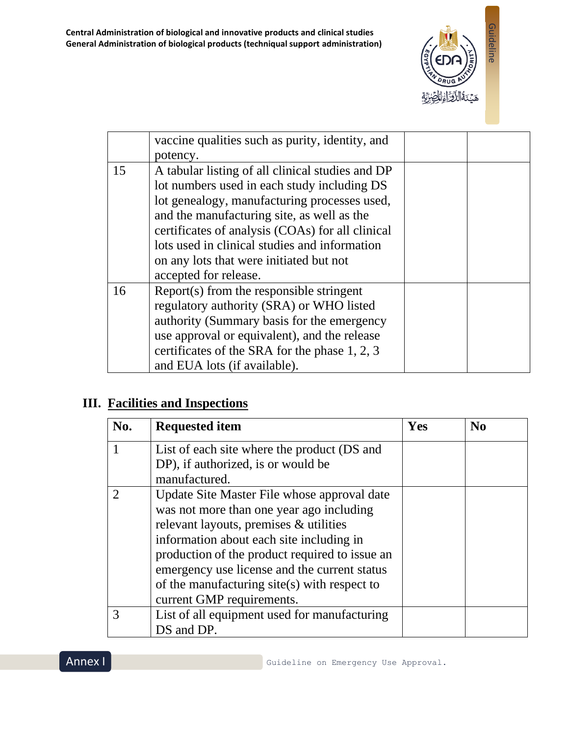

|    | vaccine qualities such as purity, identity, and  |  |
|----|--------------------------------------------------|--|
|    | potency.                                         |  |
| 15 | A tabular listing of all clinical studies and DP |  |
|    | lot numbers used in each study including DS      |  |
|    | lot genealogy, manufacturing processes used,     |  |
|    | and the manufacturing site, as well as the       |  |
|    | certificates of analysis (COAs) for all clinical |  |
|    | lots used in clinical studies and information    |  |
|    | on any lots that were initiated but not          |  |
|    | accepted for release.                            |  |
| 16 | Report(s) from the responsible stringent         |  |
|    | regulatory authority (SRA) or WHO listed         |  |
|    | authority (Summary basis for the emergency       |  |
|    | use approval or equivalent), and the release     |  |
|    | certificates of the SRA for the phase 1, 2, 3    |  |
|    | and EUA lots (if available).                     |  |

## **III. Facilities and Inspections**

| No. | <b>Requested item</b>                          | Yes | $\bf No$ |
|-----|------------------------------------------------|-----|----------|
|     | List of each site where the product (DS and    |     |          |
|     | DP), if authorized, is or would be             |     |          |
|     | manufactured.                                  |     |          |
|     | Update Site Master File whose approval date    |     |          |
|     | was not more than one year ago including       |     |          |
|     | relevant layouts, premises & utilities         |     |          |
|     | information about each site including in       |     |          |
|     | production of the product required to issue an |     |          |
|     | emergency use license and the current status   |     |          |
|     | of the manufacturing site(s) with respect to   |     |          |
|     | current GMP requirements.                      |     |          |
| 3   | List of all equipment used for manufacturing   |     |          |
|     | DS and DP.                                     |     |          |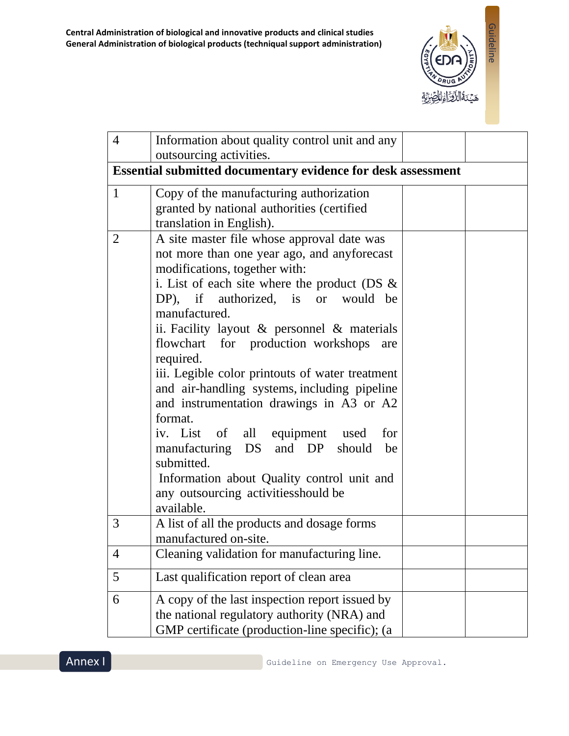

| 4              | Information about quality control unit and any<br>outsourcing activities.                                                                                                                                                                                                                                                                                                                                                                                                                                                                                                                                                                                                                                              |  |
|----------------|------------------------------------------------------------------------------------------------------------------------------------------------------------------------------------------------------------------------------------------------------------------------------------------------------------------------------------------------------------------------------------------------------------------------------------------------------------------------------------------------------------------------------------------------------------------------------------------------------------------------------------------------------------------------------------------------------------------------|--|
|                | <b>Essential submitted documentary evidence for desk assessment</b>                                                                                                                                                                                                                                                                                                                                                                                                                                                                                                                                                                                                                                                    |  |
| $\mathbf{1}$   | Copy of the manufacturing authorization<br>granted by national authorities (certified<br>translation in English).                                                                                                                                                                                                                                                                                                                                                                                                                                                                                                                                                                                                      |  |
| $\overline{2}$ | A site master file whose approval date was<br>not more than one year ago, and anyforecast<br>modifications, together with:<br>i. List of each site where the product (DS $\&$<br>DP), if authorized, is or<br>would be<br>manufactured.<br>ii. Facility layout $\&$ personnel $\&$ materials<br>flowchart for production workshops<br>are<br>required.<br>iii. Legible color printouts of water treatment<br>and air-handling systems, including pipeline<br>and instrumentation drawings in A3 or A2<br>format.<br>iv. List of all equipment used<br>for<br>manufacturing DS and DP<br>should<br>be<br>submitted.<br>Information about Quality control unit and<br>any outsourcing activities should be<br>available. |  |
| 3              | A list of all the products and dosage forms<br>manufactured on-site.                                                                                                                                                                                                                                                                                                                                                                                                                                                                                                                                                                                                                                                   |  |
| 4              | Cleaning validation for manufacturing line.                                                                                                                                                                                                                                                                                                                                                                                                                                                                                                                                                                                                                                                                            |  |
| 5              | Last qualification report of clean area                                                                                                                                                                                                                                                                                                                                                                                                                                                                                                                                                                                                                                                                                |  |
| 6              | A copy of the last inspection report issued by<br>the national regulatory authority (NRA) and<br>GMP certificate (production-line specific); (a                                                                                                                                                                                                                                                                                                                                                                                                                                                                                                                                                                        |  |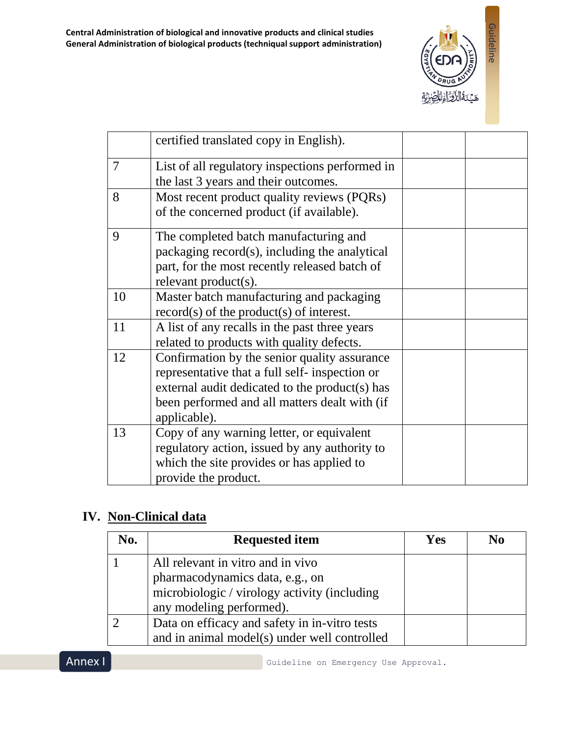

|                | certified translated copy in English).                                                                                                                                                                            |  |
|----------------|-------------------------------------------------------------------------------------------------------------------------------------------------------------------------------------------------------------------|--|
| $\overline{7}$ | List of all regulatory inspections performed in<br>the last 3 years and their outcomes.                                                                                                                           |  |
| 8              | Most recent product quality reviews (PQRs)<br>of the concerned product (if available).                                                                                                                            |  |
| 9              | The completed batch manufacturing and<br>packaging record(s), including the analytical<br>part, for the most recently released batch of<br>relevant product(s).                                                   |  |
| 10             | Master batch manufacturing and packaging<br>$record(s)$ of the product(s) of interest.                                                                                                                            |  |
| 11             | A list of any recalls in the past three years<br>related to products with quality defects.                                                                                                                        |  |
| 12             | Confirmation by the senior quality assurance<br>representative that a full self- inspection or<br>external audit dedicated to the product(s) has<br>been performed and all matters dealt with (if<br>applicable). |  |
| 13             | Copy of any warning letter, or equivalent<br>regulatory action, issued by any authority to<br>which the site provides or has applied to<br>provide the product.                                                   |  |

## **IV. Non-Clinical data**

| No.      | <b>Requested item</b>                         | <b>Yes</b> | N <sub>0</sub> |
|----------|-----------------------------------------------|------------|----------------|
|          | All relevant in vitro and in vivo             |            |                |
|          | pharmacodynamics data, e.g., on               |            |                |
|          | microbiologic / virology activity (including  |            |                |
|          | any modeling performed).                      |            |                |
| $\gamma$ | Data on efficacy and safety in in-vitro tests |            |                |
|          | and in animal model(s) under well controlled  |            |                |

Annex I

Guideline on Emergency Use Approval.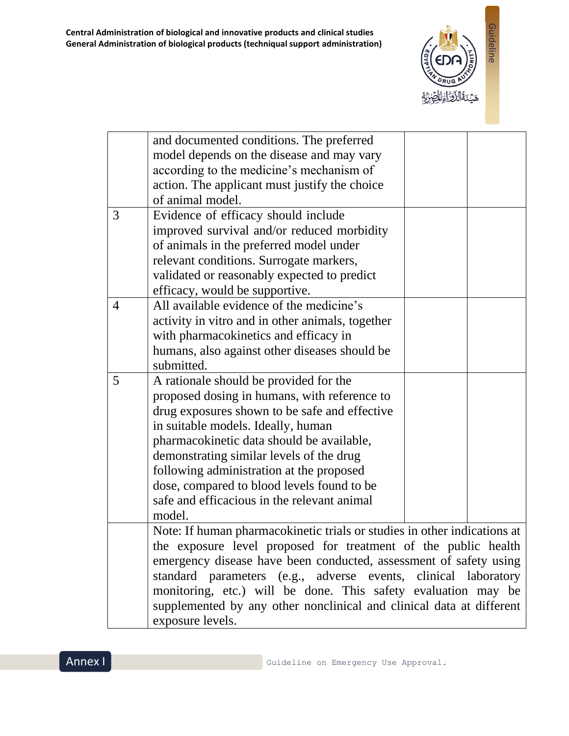

|                | and documented conditions. The preferred                                 |
|----------------|--------------------------------------------------------------------------|
|                | model depends on the disease and may vary                                |
|                | according to the medicine's mechanism of                                 |
|                | action. The applicant must justify the choice                            |
|                | of animal model.                                                         |
| 3              | Evidence of efficacy should include                                      |
|                | improved survival and/or reduced morbidity                               |
|                | of animals in the preferred model under                                  |
|                | relevant conditions. Surrogate markers,                                  |
|                | validated or reasonably expected to predict                              |
|                | efficacy, would be supportive.                                           |
| $\overline{4}$ | All available evidence of the medicine's                                 |
|                | activity in vitro and in other animals, together                         |
|                | with pharmacokinetics and efficacy in                                    |
|                | humans, also against other diseases should be                            |
|                | submitted.                                                               |
| 5              | A rationale should be provided for the                                   |
|                | proposed dosing in humans, with reference to                             |
|                | drug exposures shown to be safe and effective                            |
|                | in suitable models. Ideally, human                                       |
|                | pharmacokinetic data should be available,                                |
|                | demonstrating similar levels of the drug                                 |
|                | following administration at the proposed                                 |
|                | dose, compared to blood levels found to be                               |
|                | safe and efficacious in the relevant animal                              |
|                | model.                                                                   |
|                | Note: If human pharmacokinetic trials or studies in other indications at |
|                | the exposure level proposed for treatment of the public health           |
|                | emergency disease have been conducted, assessment of safety using        |
|                | standard parameters (e.g., adverse events, clinical laboratory           |
|                | monitoring, etc.) will be done. This safety evaluation may be            |
|                | supplemented by any other nonclinical and clinical data at different     |
|                | exposure levels.                                                         |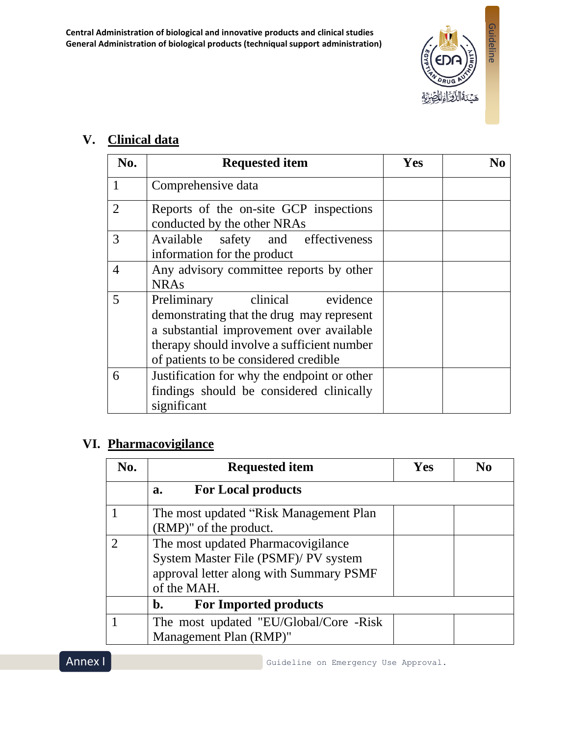

## **V. Clinical data**

| No.            | <b>Requested item</b>                                                                                                                                                                                            | Yes | No |
|----------------|------------------------------------------------------------------------------------------------------------------------------------------------------------------------------------------------------------------|-----|----|
| $\mathbf{1}$   | Comprehensive data                                                                                                                                                                                               |     |    |
| $\overline{2}$ | Reports of the on-site GCP inspections<br>conducted by the other NRAs                                                                                                                                            |     |    |
| 3              | Available safety and effectiveness<br>information for the product                                                                                                                                                |     |    |
| $\overline{4}$ | Any advisory committee reports by other<br><b>NRAs</b>                                                                                                                                                           |     |    |
| 5              | clinical evidence<br>Preliminary<br>demonstrating that the drug may represent<br>a substantial improvement over available<br>therapy should involve a sufficient number<br>of patients to be considered credible |     |    |
| 6              | Justification for why the endpoint or other<br>findings should be considered clinically<br>significant                                                                                                           |     |    |

## **VI. Pharmacovigilance**

| No. | <b>Requested item</b>                                                                                                                | Yes | N <sub>0</sub> |
|-----|--------------------------------------------------------------------------------------------------------------------------------------|-----|----------------|
|     | <b>For Local products</b><br>$a_{\bullet}$                                                                                           |     |                |
|     | The most updated "Risk Management Plan"<br>(RMP)" of the product.                                                                    |     |                |
|     | The most updated Pharmacovigilance<br>System Master File (PSMF)/ PV system<br>approval letter along with Summary PSMF<br>of the MAH. |     |                |
|     | <b>For Imported products</b><br>b.                                                                                                   |     |                |
|     | The most updated "EU/Global/Core -Risk<br>Management Plan (RMP)"                                                                     |     |                |

Annex I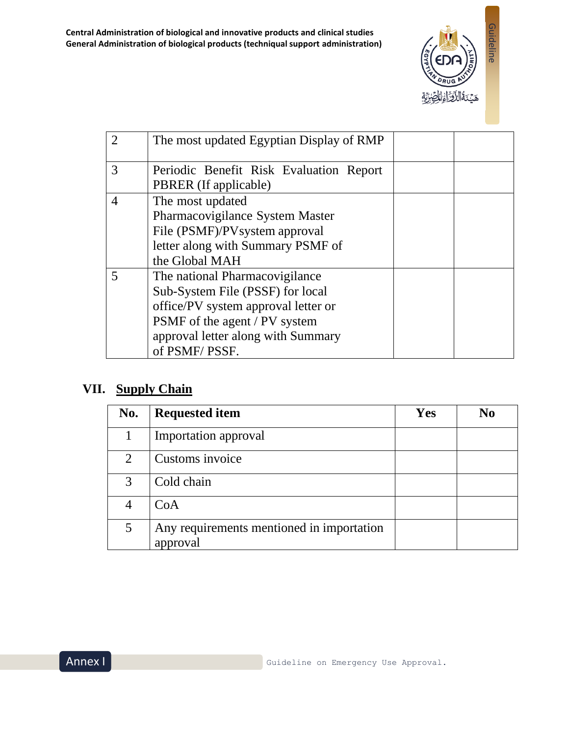

| 2 | The most updated Egyptian Display of RMP |  |
|---|------------------------------------------|--|
| 3 | Periodic Benefit Risk Evaluation Report  |  |
|   | PBRER (If applicable)                    |  |
| 4 | The most updated                         |  |
|   | Pharmacovigilance System Master          |  |
|   | File (PSMF)/PV system approval           |  |
|   | letter along with Summary PSMF of        |  |
|   | the Global MAH                           |  |
| 5 | The national Pharmacovigilance           |  |
|   | Sub-System File (PSSF) for local         |  |
|   | office/PV system approval letter or      |  |
|   | PSMF of the agent / PV system            |  |
|   | approval letter along with Summary       |  |
|   | of PSMF/PSSF.                            |  |

## **VII. Supply Chain**

| No.                         | <b>Requested item</b>                                 | Yes | No |
|-----------------------------|-------------------------------------------------------|-----|----|
|                             | Importation approval                                  |     |    |
| $\mathcal{D}_{\mathcal{L}}$ | Customs invoice                                       |     |    |
| 3                           | Cold chain                                            |     |    |
|                             | CoA                                                   |     |    |
| 5                           | Any requirements mentioned in importation<br>approval |     |    |